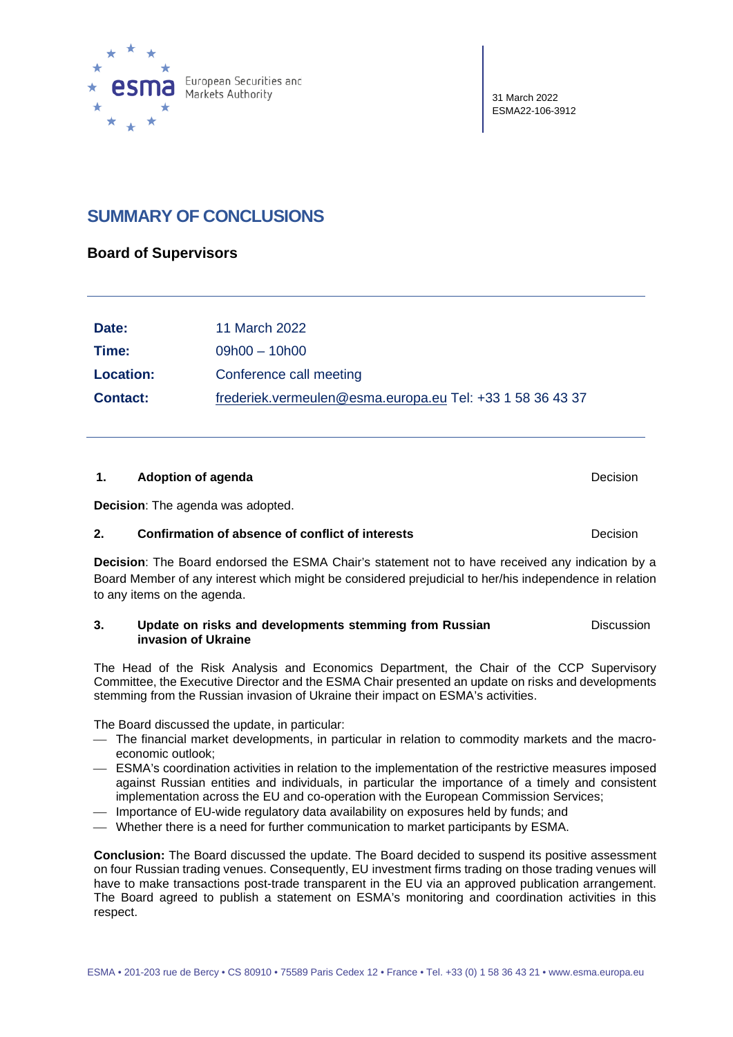

31 March 2022 ESMA22-106-3912

# **SUMMARY OF CONCLUSIONS**

#### **Board of Supervisors**

| Date:            | 11 March 2022                                             |
|------------------|-----------------------------------------------------------|
| Time:            | $09h00 - 10h00$                                           |
| <b>Location:</b> | Conference call meeting                                   |
| <b>Contact:</b>  | frederiek.vermeulen@esma.europa.eu Tel: +33 1 58 36 43 37 |

#### **1. Adoption of agenda Decision Decision Decision**

**Decision**: The agenda was adopted.

#### **2. Confirmation of absence of conflict of interests Decision**

**Decision**: The Board endorsed the ESMA Chair's statement not to have received any indication by a Board Member of any interest which might be considered prejudicial to her/his independence in relation to any items on the agenda.

#### **3. Update on risks and developments stemming from Russian invasion of Ukraine Discussion**

The Head of the Risk Analysis and Economics Department, the Chair of the CCP Supervisory Committee, the Executive Director and the ESMA Chair presented an update on risks and developments stemming from the Russian invasion of Ukraine their impact on ESMA's activities.

The Board discussed the update, in particular:

- The financial market developments, in particular in relation to commodity markets and the macroeconomic outlook;
- ESMA's coordination activities in relation to the implementation of the restrictive measures imposed against Russian entities and individuals, in particular the importance of a timely and consistent implementation across the EU and co-operation with the European Commission Services;
- Importance of EU-wide regulatory data availability on exposures held by funds; and
- Whether there is a need for further communication to market participants by ESMA.

**Conclusion:** The Board discussed the update. The Board decided to suspend its positive assessment on four Russian trading venues. Consequently, EU investment firms trading on those trading venues will have to make transactions post-trade transparent in the EU via an approved publication arrangement. The Board agreed to publish a statement on ESMA's monitoring and coordination activities in this respect.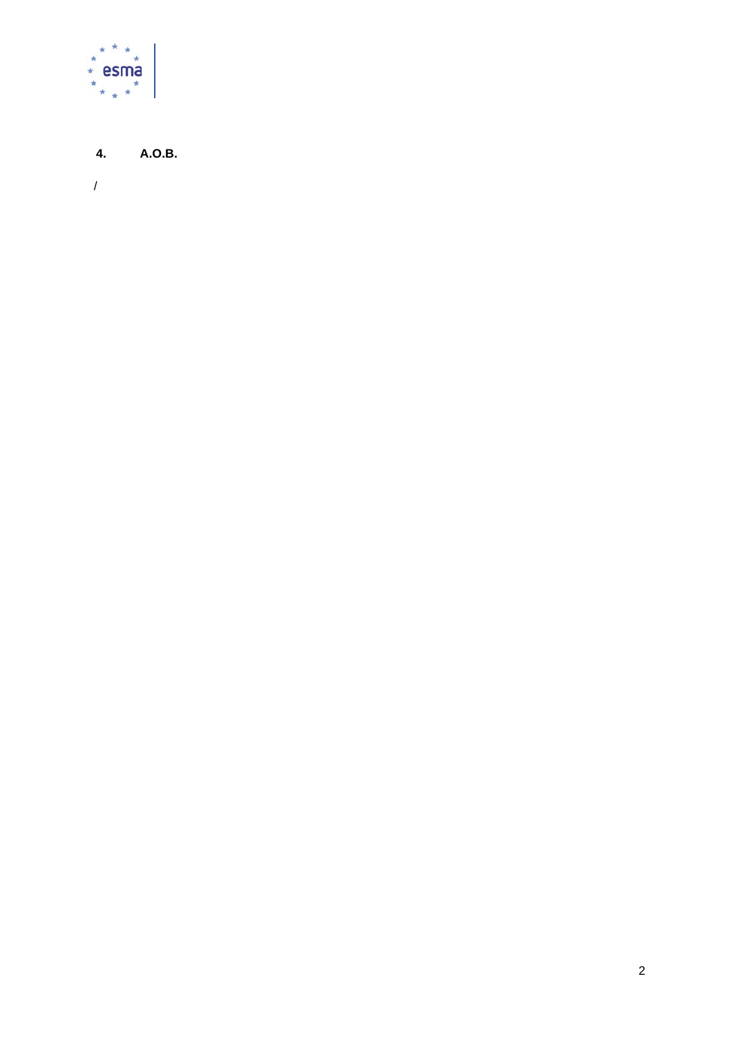

#### 4. A.O.B.

 $\overline{1}$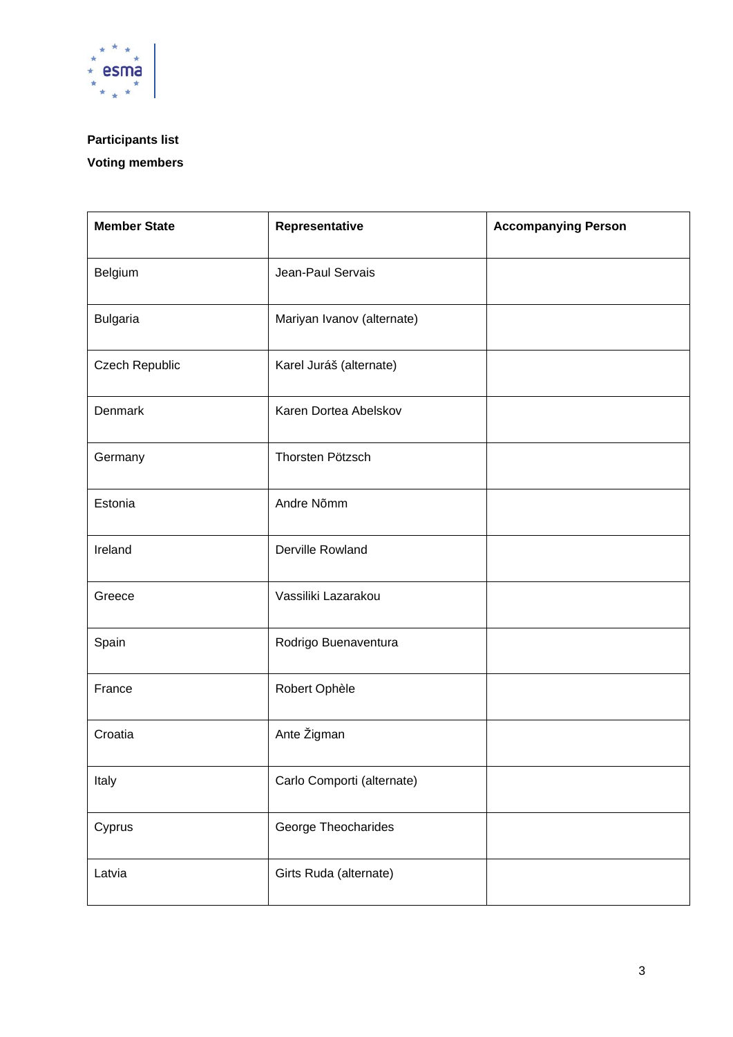

# **Participants list**

## **Voting members**

| <b>Member State</b> | Representative             | <b>Accompanying Person</b> |
|---------------------|----------------------------|----------------------------|
| Belgium             | Jean-Paul Servais          |                            |
| <b>Bulgaria</b>     | Mariyan Ivanov (alternate) |                            |
| Czech Republic      | Karel Juráš (alternate)    |                            |
| Denmark             | Karen Dortea Abelskov      |                            |
| Germany             | Thorsten Pötzsch           |                            |
| Estonia             | Andre Nõmm                 |                            |
| Ireland             | Derville Rowland           |                            |
| Greece              | Vassiliki Lazarakou        |                            |
| Spain               | Rodrigo Buenaventura       |                            |
| France              | Robert Ophèle              |                            |
| Croatia             | Ante Žigman                |                            |
| Italy               | Carlo Comporti (alternate) |                            |
| Cyprus              | George Theocharides        |                            |
| Latvia              | Girts Ruda (alternate)     |                            |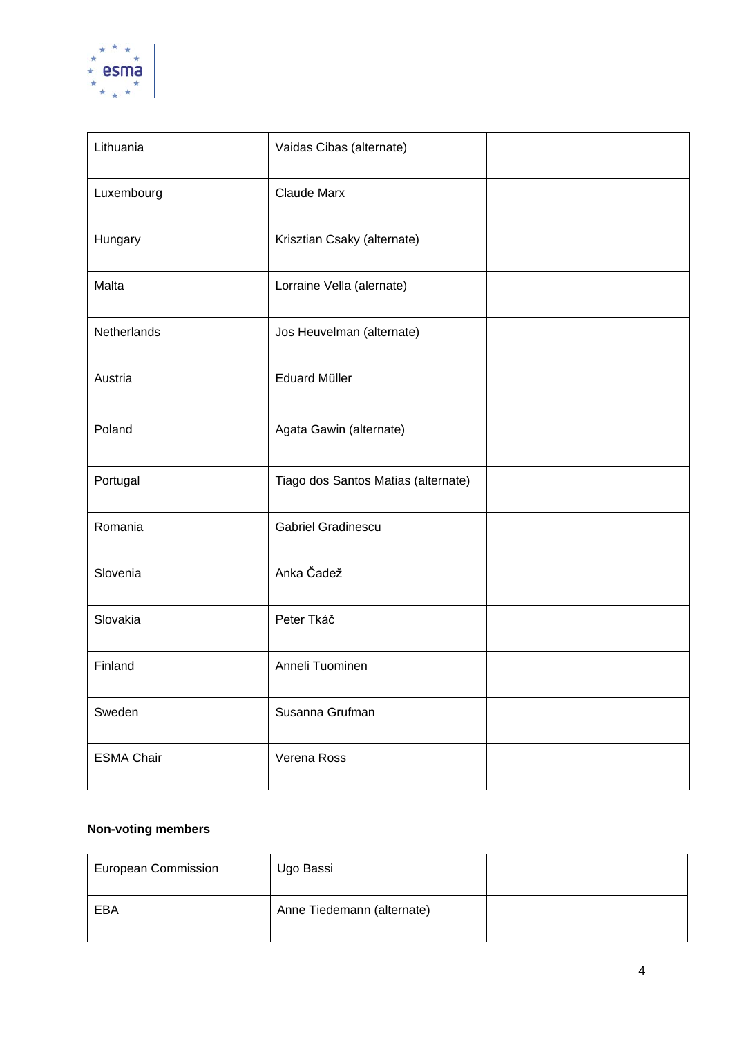

| Lithuania         | Vaidas Cibas (alternate)            |  |
|-------------------|-------------------------------------|--|
| Luxembourg        | <b>Claude Marx</b>                  |  |
| Hungary           | Krisztian Csaky (alternate)         |  |
| Malta             | Lorraine Vella (alernate)           |  |
| Netherlands       | Jos Heuvelman (alternate)           |  |
| Austria           | <b>Eduard Müller</b>                |  |
| Poland            | Agata Gawin (alternate)             |  |
| Portugal          | Tiago dos Santos Matias (alternate) |  |
| Romania           | <b>Gabriel Gradinescu</b>           |  |
| Slovenia          | Anka Čadež                          |  |
| Slovakia          | Peter Tkáč                          |  |
| Finland           | Anneli Tuominen                     |  |
| Sweden            | Susanna Grufman                     |  |
| <b>ESMA Chair</b> | Verena Ross                         |  |

### **Non-voting members**

| <b>European Commission</b> | Ugo Bassi                  |  |
|----------------------------|----------------------------|--|
| EBA                        | Anne Tiedemann (alternate) |  |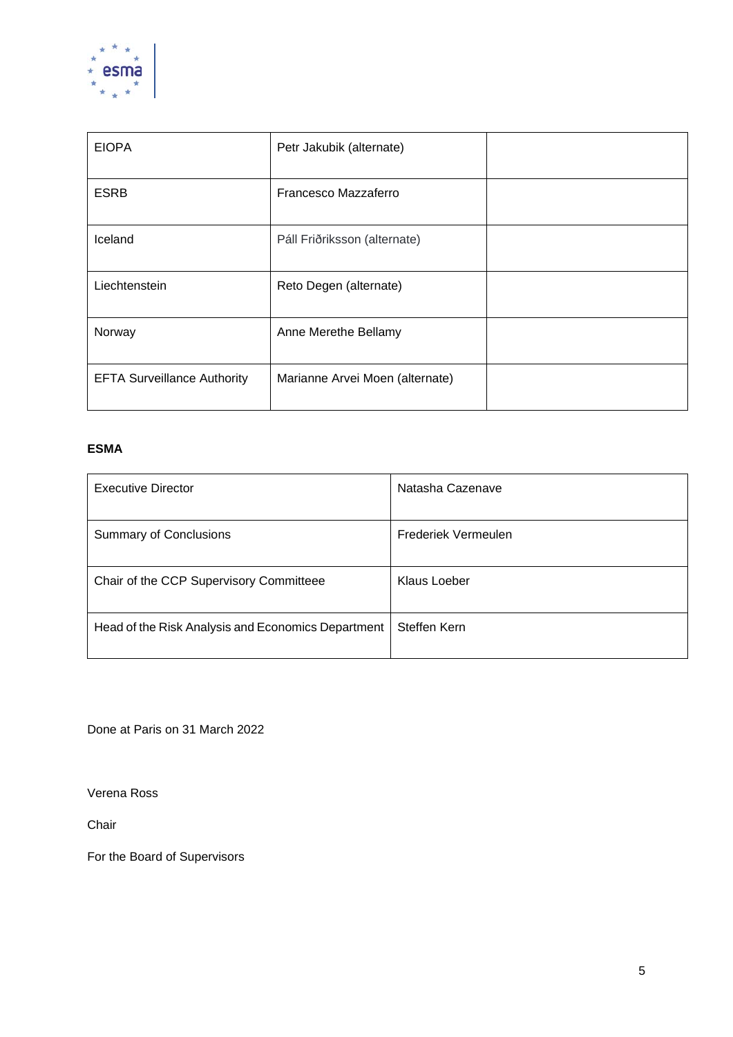

| <b>EIOPA</b>                       | Petr Jakubik (alternate)        |  |
|------------------------------------|---------------------------------|--|
| <b>ESRB</b>                        | Francesco Mazzaferro            |  |
| Iceland                            | Páll Friðriksson (alternate)    |  |
| Liechtenstein                      | Reto Degen (alternate)          |  |
| Norway                             | Anne Merethe Bellamy            |  |
| <b>EFTA Surveillance Authority</b> | Marianne Arvei Moen (alternate) |  |

#### **ESMA**

| <b>Executive Director</b>                          | Natasha Cazenave    |
|----------------------------------------------------|---------------------|
| <b>Summary of Conclusions</b>                      | Frederiek Vermeulen |
| Chair of the CCP Supervisory Committeee            | Klaus Loeber        |
| Head of the Risk Analysis and Economics Department | Steffen Kern        |

Done at Paris on 31 March 2022

Verena Ross

Chair

For the Board of Supervisors